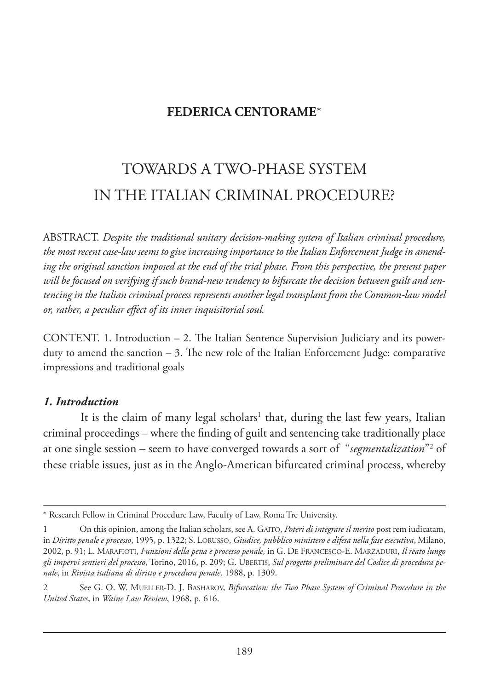## **FEDERICA CENTORAME**\*

# TOWARDS A TWO-PHASE SYSTEM IN THE ITALIAN CRIMINAL PROCEDURE?

ABSTRACT. *Despite the traditional unitary decision-making system of Italian criminal procedure, the most recent case-law seems to give increasing importance to the Italian Enforcement Judge in amending the original sanction imposed at the end of the trial phase. From this perspective, the present paper will be focused on verifying if such brand-new tendency to bifurcate the decision between guilt and sentencing in the Italian criminal process represents another legal transplant from the Common-law model or, rather, a peculiar effect of its inner inquisitorial soul.* 

CONTENT. 1. Introduction  $-2$ . The Italian Sentence Supervision Judiciary and its powerduty to amend the sanction  $-3$ . The new role of the Italian Enforcement Judge: comparative impressions and traditional goals

#### *1. Introduction*

It is the claim of many legal scholars<sup>1</sup> that, during the last few years, Italian criminal proceedings – where the finding of guilt and sentencing take traditionally place at one single session – seem to have converged towards a sort of *"segmentalization*"<sup>2</sup> of these triable issues, just as in the Anglo-American bifurcated criminal process, whereby

<sup>\*</sup> Research Fellow in Criminal Procedure Law, Faculty of Law, Roma Tre University.

<sup>1</sup> On this opinion, among the Italian scholars, see A. GAITO, *Poteri di integrare il merito* post rem iudicatam, in *Diritto penale e processo*, 1995, p. 1322; S. LORUSSO, *Giudice, pubblico ministero e difesa nella fase esecutiva*, Milano, 2002, p. 91; L. MARAFIOTI, *Funzioni della pena e processo penale,* in G. DE FRANCESCO-E. MARZADURI, *Il reato lungo gli impervi sentieri del processo*, Torino, 2016, p. 209; G. UBERTIS, *Sul progetto preliminare del Codice di procedura penale*, in *Rivista italiana di diritto e procedura penale,* 1988, p. 1309.

<sup>2</sup> See G. O. W. MUELLER-D. J. BASHAROV, *Bifurcation: the Two Phase System of Criminal Procedure in the United States*, in *Waine Law Review*, 1968, p*.* 616.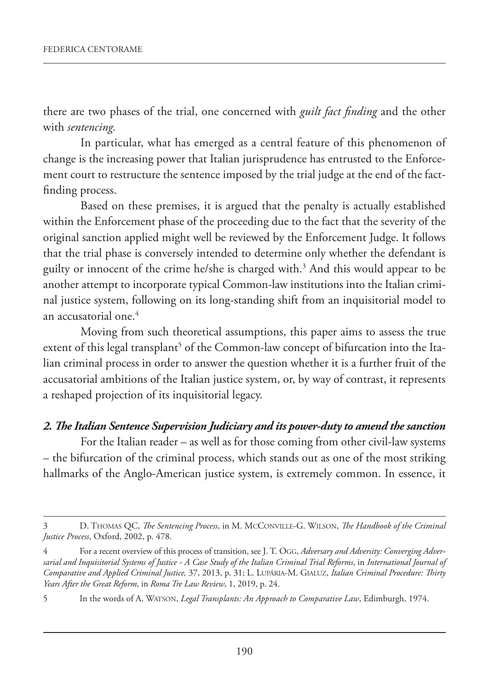there are two phases of the trial, one concerned with *guilt fact finding* and the other with *sentencing.*

In particular, what has emerged as a central feature of this phenomenon of change is the increasing power that Italian jurisprudence has entrusted to the Enforcement court to restructure the sentence imposed by the trial judge at the end of the factfinding process.

Based on these premises, it is argued that the penalty is actually established within the Enforcement phase of the proceeding due to the fact that the severity of the original sanction applied might well be reviewed by the Enforcement Judge. It follows that the trial phase is conversely intended to determine only whether the defendant is guilty or innocent of the crime he/she is charged with.3 And this would appear to be another attempt to incorporate typical Common-law institutions into the Italian criminal justice system, following on its long-standing shift from an inquisitorial model to an accusatorial one.4

Moving from such theoretical assumptions, this paper aims to assess the true extent of this legal transplant<sup>5</sup> of the Common-law concept of bifurcation into the Italian criminal process in order to answer the question whether it is a further fruit of the accusatorial ambitions of the Italian justice system, or, by way of contrast, it represents a reshaped projection of its inquisitorial legacy.

#### *2. The Italian Sentence Supervision Judiciary and its power-duty to amend the sanction*

For the Italian reader – as well as for those coming from other civil-law systems – the bifurcation of the criminal process, which stands out as one of the most striking hallmarks of the Anglo-American justice system, is extremely common. In essence, it

<sup>3</sup> D. THOMAS QC, *The Sentencing Process*, in M. MCCONVILLE-G. WILSON, *The Handbook of the Criminal Justice Process*, Oxford, 2002, p. 478.

<sup>4</sup> For a recent overview of this process of transition, see J. T. OGG, *Adversary and Adversity: Converging Adversarial and Inquisitorial Systems of Justice - A Case Study of the Italian Criminal Trial Reforms*, in *International Journal of Comparative and Applied Criminal Justice,* 37, 2013, p. 31; L. LUPÁRIA-M. GIALUZ, *Italian Criminal Procedure: Thirty Years After the Great Reform*, in *Roma Tre Law Review*, 1, 2019, p. 24.

<sup>5</sup> In the words of A. WATSON, *Legal Transplants: An Approach to Comparative Law*, Edimburgh, 1974.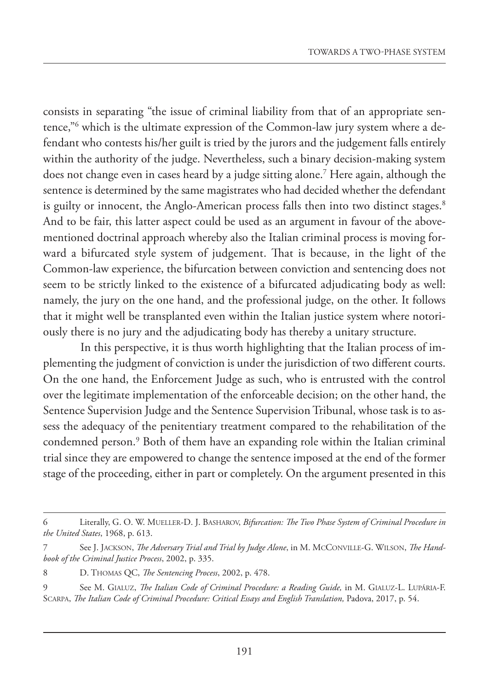consists in separating "the issue of criminal liability from that of an appropriate sentence,"6 which is the ultimate expression of the Common-law jury system where a defendant who contests his/her guilt is tried by the jurors and the judgement falls entirely within the authority of the judge. Nevertheless, such a binary decision-making system does not change even in cases heard by a judge sitting alone.7 Here again, although the sentence is determined by the same magistrates who had decided whether the defendant is guilty or innocent, the Anglo-American process falls then into two distinct stages.<sup>8</sup> And to be fair, this latter aspect could be used as an argument in favour of the abovementioned doctrinal approach whereby also the Italian criminal process is moving forward a bifurcated style system of judgement. That is because, in the light of the Common-law experience, the bifurcation between conviction and sentencing does not seem to be strictly linked to the existence of a bifurcated adjudicating body as well: namely, the jury on the one hand, and the professional judge, on the other. It follows that it might well be transplanted even within the Italian justice system where notoriously there is no jury and the adjudicating body has thereby a unitary structure.

In this perspective, it is thus worth highlighting that the Italian process of implementing the judgment of conviction is under the jurisdiction of two different courts. On the one hand, the Enforcement Judge as such, who is entrusted with the control over the legitimate implementation of the enforceable decision; on the other hand, the Sentence Supervision Judge and the Sentence Supervision Tribunal, whose task is to assess the adequacy of the penitentiary treatment compared to the rehabilitation of the condemned person.9 Both of them have an expanding role within the Italian criminal trial since they are empowered to change the sentence imposed at the end of the former stage of the proceeding, either in part or completely. On the argument presented in this

<sup>6</sup> Literally, G. O. W. MUELLER-D. J. BASHAROV, *Bifurcation: The Two Phase System of Criminal Procedure in the United States*, 1968, p. 613.

<sup>7</sup> See J. JACKSON, *The Adversary Trial and Trial by Judge Alone*, in M. MCCONVILLE-G. WILSON, *The Handbook of the Criminal Justice Process*, 2002, p. 335.

<sup>8</sup> D. THOMAS QC, *The Sentencing Process*, 2002, p. 478.

<sup>9</sup> See M. GIALUZ, *The Italian Code of Criminal Procedure: a Reading Guide,* in M. GIALUZ-L. LUPÁRIA-F. SCARPA, *The Italian Code of Criminal Procedure: Critical Essays and English Translation,* Padova, 2017, p. 54.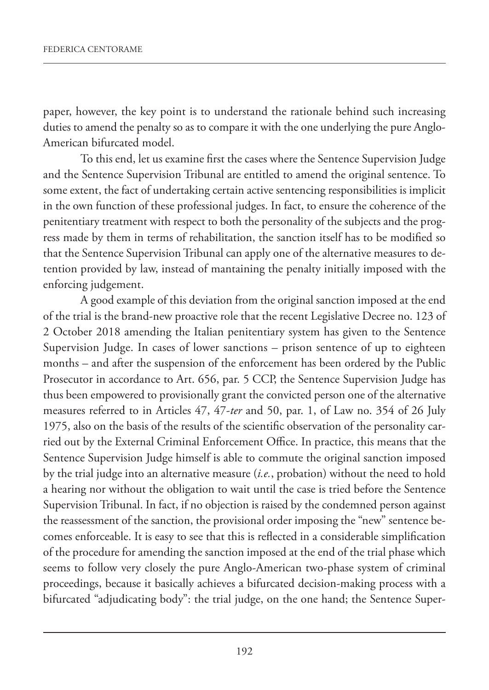paper, however, the key point is to understand the rationale behind such increasing duties to amend the penalty so as to compare it with the one underlying the pure Anglo-American bifurcated model.

To this end, let us examine first the cases where the Sentence Supervision Judge and the Sentence Supervision Tribunal are entitled to amend the original sentence. To some extent, the fact of undertaking certain active sentencing responsibilities is implicit in the own function of these professional judges. In fact, to ensure the coherence of the penitentiary treatment with respect to both the personality of the subjects and the progress made by them in terms of rehabilitation, the sanction itself has to be modified so that the Sentence Supervision Tribunal can apply one of the alternative measures to detention provided by law, instead of mantaining the penalty initially imposed with the enforcing judgement.

A good example of this deviation from the original sanction imposed at the end of the trial is the brand-new proactive role that the recent Legislative Decree no. 123 of 2 October 2018 amending the Italian penitentiary system has given to the Sentence Supervision Judge. In cases of lower sanctions – prison sentence of up to eighteen months – and after the suspension of the enforcement has been ordered by the Public Prosecutor in accordance to Art. 656, par. 5 CCP, the Sentence Supervision Judge has thus been empowered to provisionally grant the convicted person one of the alternative measures referred to in Articles 47, 47-*ter* and 50, par. 1, of Law no. 354 of 26 July 1975, also on the basis of the results of the scientific observation of the personality carried out by the External Criminal Enforcement Office. In practice, this means that the Sentence Supervision Judge himself is able to commute the original sanction imposed by the trial judge into an alternative measure (*i.e.*, probation) without the need to hold a hearing nor without the obligation to wait until the case is tried before the Sentence Supervision Tribunal. In fact, if no objection is raised by the condemned person against the reassessment of the sanction, the provisional order imposing the "new" sentence becomes enforceable. It is easy to see that this is reflected in a considerable simplification of the procedure for amending the sanction imposed at the end of the trial phase which seems to follow very closely the pure Anglo-American two-phase system of criminal proceedings, because it basically achieves a bifurcated decision-making process with a bifurcated "adjudicating body": the trial judge, on the one hand; the Sentence Super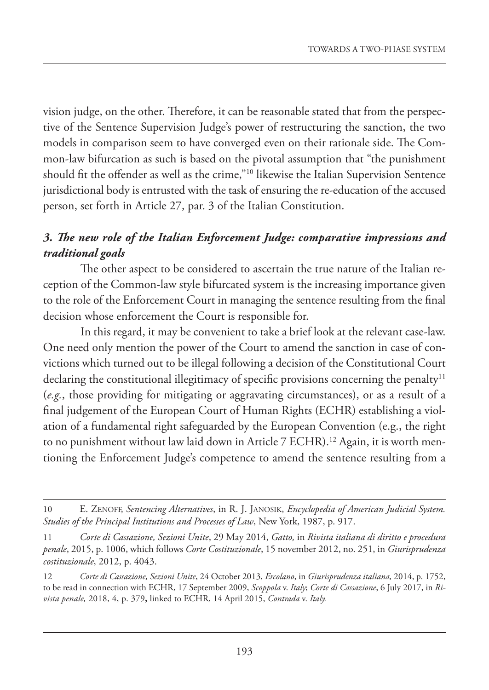vision judge, on the other. Therefore, it can be reasonable stated that from the perspective of the Sentence Supervision Judge's power of restructuring the sanction, the two models in comparison seem to have converged even on their rationale side. The Common-law bifurcation as such is based on the pivotal assumption that "the punishment should fit the offender as well as the crime,"10 likewise the Italian Supervision Sentence jurisdictional body is entrusted with the task of ensuring the re-education of the accused person, set forth in Article 27, par. 3 of the Italian Constitution.

## *3. The new role of the Italian Enforcement Judge: comparative impressions and traditional goals*

The other aspect to be considered to ascertain the true nature of the Italian reception of the Common-law style bifurcated system is the increasing importance given to the role of the Enforcement Court in managing the sentence resulting from the final decision whose enforcement the Court is responsible for.

In this regard, it may be convenient to take a brief look at the relevant case-law. One need only mention the power of the Court to amend the sanction in case of convictions which turned out to be illegal following a decision of the Constitutional Court declaring the constitutional illegitimacy of specific provisions concerning the penalty<sup>11</sup> (*e.g.*, those providing for mitigating or aggravating circumstances), or as a result of a final judgement of the European Court of Human Rights (ECHR) establishing a violation of a fundamental right safeguarded by the European Convention (e.g., the right to no punishment without law laid down in Article 7 ECHR).<sup>12</sup> Again, it is worth mentioning the Enforcement Judge's competence to amend the sentence resulting from a

<sup>10</sup> E. ZENOFF, *Sentencing Alternatives*, in R. J. JANOSIK, *Encyclopedia of American Judicial System. Studies of the Principal Institutions and Processes of Law*, New York, 1987, p. 917.

<sup>11</sup> *Corte di Cassazione, Sezioni Unite*, 29 May 2014, *Gatto,* in *Rivista italiana di diritto e procedura penale*, 2015, p. 1006, which follows *Corte Costituzionale*, 15 november 2012, no. 251, in *Giurisprudenza costituzionale*, 2012, p. 4043.

<sup>12</sup> *Corte di Cassazione, Sezioni Unite*, 24 October 2013, *Ercolano*, in *Giurisprudenza italiana,* 2014, p. 1752, to be read in connection with ECHR, 17 September 2009, *Scoppola* v. *Italy*; *Corte di Cassazione*, 6 July 2017, in *Rivista penale,* 2018, 4, p. 379**,** linked to ECHR, 14 April 2015, *Contrada* v. *Italy.*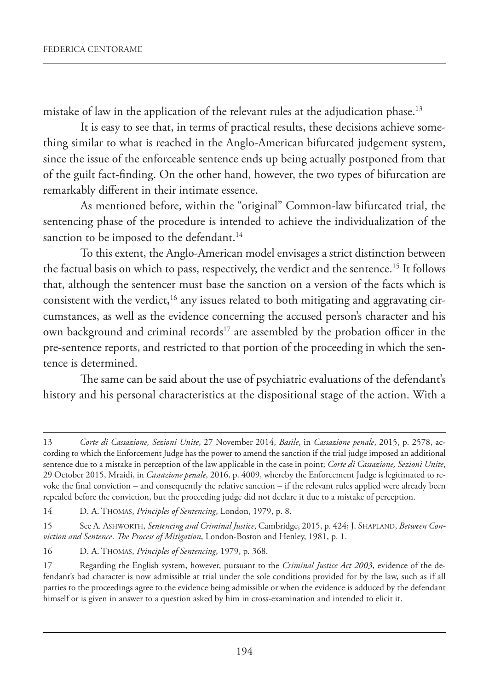mistake of law in the application of the relevant rules at the adjudication phase.<sup>13</sup>

It is easy to see that, in terms of practical results, these decisions achieve something similar to what is reached in the Anglo-American bifurcated judgement system, since the issue of the enforceable sentence ends up being actually postponed from that of the guilt fact-finding. On the other hand, however, the two types of bifurcation are remarkably different in their intimate essence.

As mentioned before, within the "original" Common-law bifurcated trial, the sentencing phase of the procedure is intended to achieve the individualization of the sanction to be imposed to the defendant.<sup>14</sup>

To this extent, the Anglo-American model envisages a strict distinction between the factual basis on which to pass, respectively, the verdict and the sentence.<sup>15</sup> It follows that, although the sentencer must base the sanction on a version of the facts which is consistent with the verdict, $16$  any issues related to both mitigating and aggravating circumstances, as well as the evidence concerning the accused person's character and his own background and criminal records<sup>17</sup> are assembled by the probation officer in the pre-sentence reports, and restricted to that portion of the proceeding in which the sentence is determined.

The same can be said about the use of psychiatric evaluations of the defendant's history and his personal characteristics at the dispositional stage of the action. With a

<sup>13</sup> *Corte di Cassazione, Sezioni Unite*, 27 November 2014, *Basile*, in *Cassazione penale*, 2015, p. 2578, according to which the Enforcement Judge has the power to amend the sanction if the trial judge imposed an additional sentence due to a mistake in perception of the law applicable in the case in point; *Corte di Cassazione, Sezioni Unite*, 29 October 2015, Mraidi, in *Cassazione penale*, 2016, p. 4009, whereby the Enforcement Judge is legitimated to revoke the final conviction – and consequently the relative sanction – if the relevant rules applied were already been repealed before the conviction, but the proceeding judge did not declare it due to a mistake of perception.

<sup>14</sup> D. A. THOMAS, *Principles of Sentencing*, London, 1979, p. 8.

<sup>15</sup> See A. ASHWORTH, *Sentencing and Criminal Justice*, Cambridge, 2015, p. 424; J. SHAPLAND, *Between Conviction and Sentence*. *The Process of Mitigation*, London-Boston and Henley, 1981, p. 1.

<sup>16</sup> D. A. THOMAS, *Principles of Sentencing*, 1979, p. 368.

<sup>17</sup> Regarding the English system, however, pursuant to the *Criminal Justice Act 2003*, evidence of the defendant's bad character is now admissible at trial under the sole conditions provided for by the law, such as if all parties to the proceedings agree to the evidence being admissible or when the evidence is adduced by the defendant himself or is given in answer to a question asked by him in cross-examination and intended to elicit it.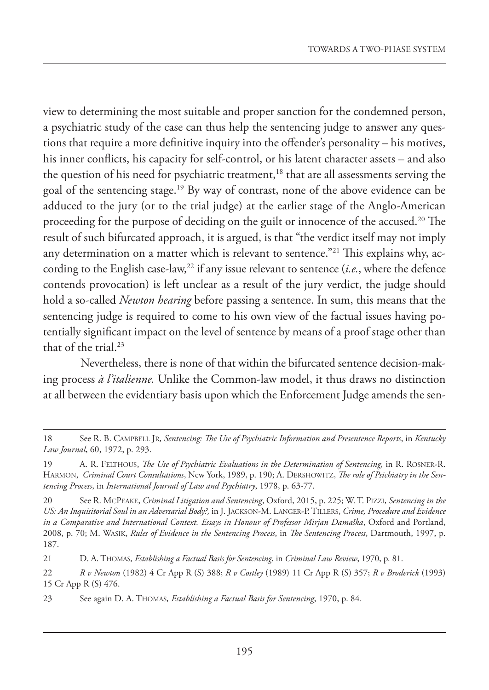view to determining the most suitable and proper sanction for the condemned person, a psychiatric study of the case can thus help the sentencing judge to answer any questions that require a more definitive inquiry into the offender's personality – his motives, his inner conflicts, his capacity for self-control, or his latent character assets – and also the question of his need for psychiatric treatment,<sup>18</sup> that are all assessments serving the goal of the sentencing stage.19 By way of contrast, none of the above evidence can be adduced to the jury (or to the trial judge) at the earlier stage of the Anglo-American proceeding for the purpose of deciding on the guilt or innocence of the accused.20 The result of such bifurcated approach, it is argued, is that "the verdict itself may not imply any determination on a matter which is relevant to sentence."<sup>21</sup> This explains why, according to the English case-law,<sup>22</sup> if any issue relevant to sentence  $(i.e.,$  where the defence contends provocation) is left unclear as a result of the jury verdict, the judge should hold a so-called *Newton hearing* before passing a sentence. In sum, this means that the sentencing judge is required to come to his own view of the factual issues having potentially significant impact on the level of sentence by means of a proof stage other than that of the trial. $23$ 

Nevertheless, there is none of that within the bifurcated sentence decision-making process *à l'italienne.* Unlike the Common-law model, it thus draws no distinction at all between the evidentiary basis upon which the Enforcement Judge amends the sen-

<sup>18</sup> See R. B. CAMPBELL JR*, Sentencing: The Use of Psychiatric Information and Presentence Reports*, in *Kentucky Law Journal*, 60, 1972, p. 293.

<sup>19</sup> A. R. FELTHOUS, *The Use of Psychiatric Evaluations in the Determination of Sentencing*, in R. ROSNER-R. HARMON, *Criminal Court Consultations*, New York, 1989, p. 190; A. DERSHOWITZ, *The role of Psichiatry in the Sentencing Process*, in *International Journal of Law and Psychiatry*, 1978, p. 63-77.

<sup>20</sup> See R. MCPEAKE, *Criminal Litigation and Sentencing*, Oxford, 2015, p. 225; W. T. PIZZI, *Sentencing in the US: An Inquisitorial Soul in an Adversarial Body?,* in J. JACKSON-M. LANGER-P. TILLERS, *Crime, Procedure and Evidence in a Comparative and International Context. Essays in Honour of Professor Mirjan Damaška*, Oxford and Portland, 2008, p. 70; M. WASIK, *Rules of Evidence in the Sentencing Process*, in *The Sentencing Process*, Dartmouth, 1997, p. 187.

<sup>21</sup> D. A. THOMAS*, Establishing a Factual Basis for Sentencing*, in *Criminal Law Review*, 1970, p. 81.

<sup>22</sup> *R v Newton* (1982) 4 Cr App R (S) 388; *R v Costley* (1989) 11 Cr App R (S) 357; *R v Broderick* (1993) 15 Cr App R (S) 476.

<sup>23</sup> See again D. A. THOMAS*, Establishing a Factual Basis for Sentencing*, 1970, p. 84.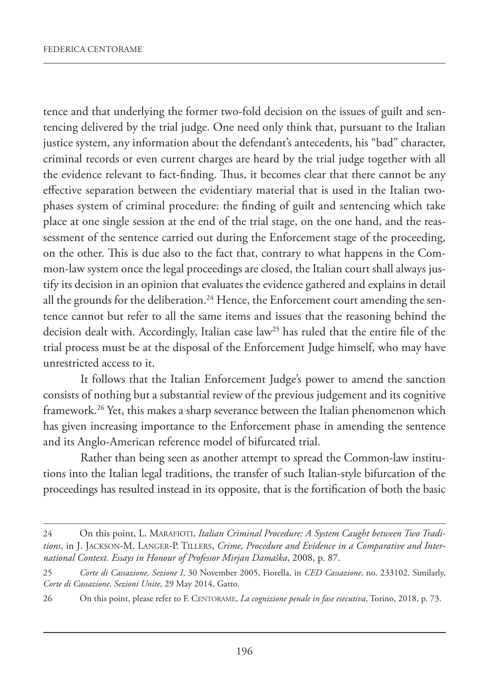tence and that underlying the former two-fold decision on the issues of guilt and sentencing delivered by the trial judge. One need only think that, pursuant to the Italian justice system, any information about the defendant's antecedents, his "bad" character, criminal records or even current charges are heard by the trial judge together with all the evidence relevant to fact-finding. Thus, it becomes clear that there cannot be any effective separation between the evidentiary material that is used in the Italian twophases system of criminal procedure: the finding of guilt and sentencing which take place at one single session at the end of the trial stage, on the one hand, and the reassessment of the sentence carried out during the Enforcement stage of the proceeding, on the other. This is due also to the fact that, contrary to what happens in the Common-law system once the legal proceedings are closed, the Italian court shall always justify its decision in an opinion that evaluates the evidence gathered and explains in detail all the grounds for the deliberation.<sup>24</sup> Hence, the Enforcement court amending the sentence cannot but refer to all the same items and issues that the reasoning behind the decision dealt with. Accordingly, Italian case law<sup>25</sup> has ruled that the entire file of the trial process must be at the disposal of the Enforcement Judge himself, who may have unrestricted access to it.

It follows that the Italian Enforcement Judge's power to amend the sanction consists of nothing but a substantial review of the previous judgement and its cognitive framework.26 Yet, this makes a sharp severance between the Italian phenomenon which has given increasing importance to the Enforcement phase in amending the sentence and its Anglo-American reference model of bifurcated trial.

Rather than being seen as another attempt to spread the Common-law institutions into the Italian legal traditions, the transfer of such Italian-style bifurcation of the proceedings has resulted instead in its opposite, that is the fortification of both the basic

<sup>24</sup> On this point, L. MARAFIOTI, *Italian Criminal Procedure: A System Caught between Two Traditions*, in J. JACKSON-M. LANGER-P. TILLERS, *Crime, Procedure and Evidence in a Comparative and International Context. Essays in Honour of Professor Mirjan Damaška*, 2008, p. 87.

<sup>25</sup> *Corte di Cassazione, Sezione I*, 30 November 2005, Fiorella, in *CED Cassazione*, no. 233102. Similarly, *Corte di Cassazione, Sezioni Unite*, 29 May 2014, Gatto.

<sup>26</sup> On this point, please refer to F. CENTORAME, *La cognizione penale in fase esecutiva*, Torino, 2018, p. 73.